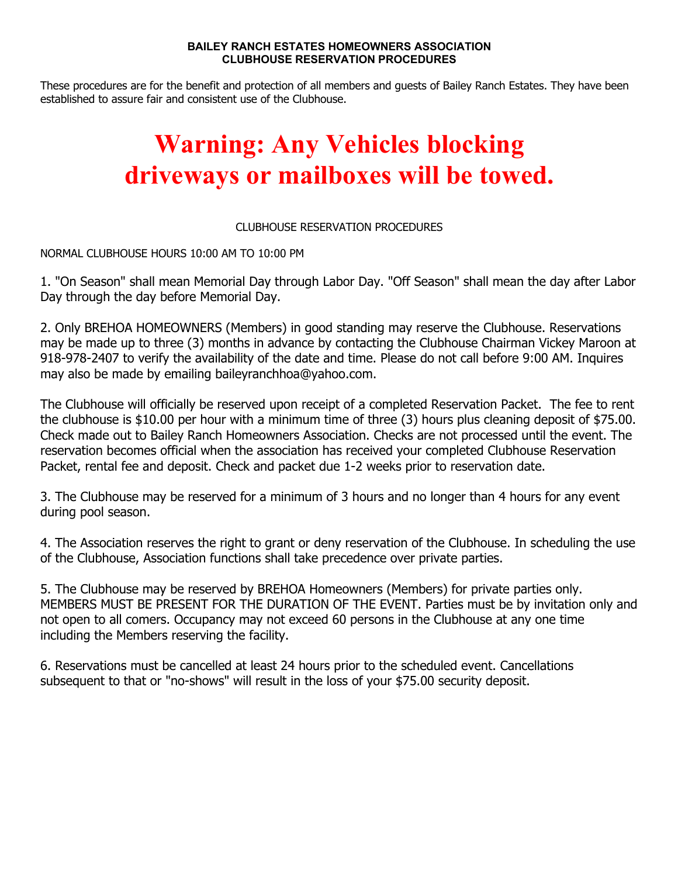## **BAILEY RANCH ESTATES HOMEOWNERS ASSOCIATION CLUBHOUSE RESERVATION PROCEDURES**

These procedures are for the benefit and protection of all members and guests of Bailey Ranch Estates. They have been established to assure fair and consistent use of the Clubhouse.

## **Warning: Any Vehicles blocking driveways or mailboxes will be towed.**

## CLUBHOUSE RESERVATION PROCEDURES

NORMAL CLUBHOUSE HOURS 10:00 AM TO 10:00 PM

1. "On Season" shall mean Memorial Day through Labor Day. "Off Season" shall mean the day after Labor Day through the day before Memorial Day.

2. Only BREHOA HOMEOWNERS (Members) in good standing may reserve the Clubhouse. Reservations may be made up to three (3) months in advance by contacting the Clubhouse Chairman Vickey Maroon at 918-978-2407 to verify the availability of the date and time. Please do not call before 9:00 AM. Inquires may also be made by emailing baileyranchhoa@yahoo.com.

The Clubhouse will officially be reserved upon receipt of a completed Reservation Packet. The fee to rent the clubhouse is \$10.00 per hour with a minimum time of three (3) hours plus cleaning deposit of \$75.00. Check made out to Bailey Ranch Homeowners Association. Checks are not processed until the event. The reservation becomes official when the association has received your completed Clubhouse Reservation Packet, rental fee and deposit. Check and packet due 1-2 weeks prior to reservation date.

3. The Clubhouse may be reserved for a minimum of 3 hours and no longer than 4 hours for any event during pool season.

4. The Association reserves the right to grant or deny reservation of the Clubhouse. In scheduling the use of the Clubhouse, Association functions shall take precedence over private parties.

5. The Clubhouse may be reserved by BREHOA Homeowners (Members) for private parties only. MEMBERS MUST BE PRESENT FOR THE DURATION OF THE EVENT. Parties must be by invitation only and not open to all comers. Occupancy may not exceed 60 persons in the Clubhouse at any one time including the Members reserving the facility.

6. Reservations must be cancelled at least 24 hours prior to the scheduled event. Cancellations subsequent to that or "no-shows" will result in the loss of your \$75.00 security deposit.